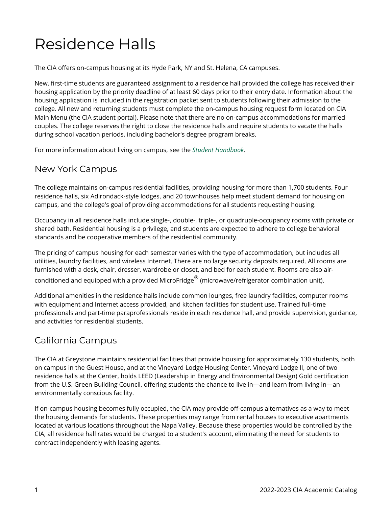## Residence Halls

The CIA offers on-campus housing at its Hyde Park, NY and St. Helena, CA campuses.

New, first-time students are guaranteed assignment to a residence hall provided the college has received their housing application by the priority deadline of at least 60 days prior to their entry date. Information about the housing application is included in the registration packet sent to students following their admission to the college. All new and returning students must complete the on-campus housing request form located on CIA Main Menu (the CIA student portal). Please note that there are no on-campus accommodations for married couples. The college reserves the right to close the residence halls and require students to vacate the halls during school vacation periods, including bachelor's degree program breaks.

For more information about living on campus, see the *[Student Handbook](https://live-cia-catalog22.cleancatalog.io/student-handbook).* 

## New York Campus

The college maintains on-campus residential facilities, providing housing for more than 1,700 students. Four residence halls, six Adirondack-style lodges, and 20 townhouses help meet student demand for housing on campus, and the college's goal of providing accommodations for all students requesting housing.

Occupancy in all residence halls include single-, double-, triple-, or quadruple-occupancy rooms with private or shared bath. Residential housing is a privilege, and students are expected to adhere to college behavioral standards and be cooperative members of the residential community.

The pricing of campus housing for each semester varies with the type of accommodation, but includes all utilities, laundry facilities, and wireless Internet. There are no large security deposits required. All rooms are furnished with a desk, chair, dresser, wardrobe or closet, and bed for each student. Rooms are also airconditioned and equipped with a provided MicroFridge $^\circledR$  (microwave/refrigerator combination unit).

Additional amenities in the residence halls include common lounges, free laundry facilities, computer rooms with equipment and Internet access provided, and kitchen facilities for student use. Trained full-time professionals and part-time paraprofessionals reside in each residence hall, and provide supervision, guidance, and activities for residential students.

## California Campus

The CIA at Greystone maintains residential facilities that provide housing for approximately 130 students, both on campus in the Guest House, and at the Vineyard Lodge Housing Center. Vineyard Lodge II, one of two residence halls at the Center, holds LEED (Leadership in Energy and Environmental Design) Gold certification from the U.S. Green Building Council, offering students the chance to live in—and learn from living in—an environmentally conscious facility.

If on-campus housing becomes fully occupied, the CIA may provide off-campus alternatives as a way to meet the housing demands for students. These properties may range from rental houses to executive apartments located at various locations throughout the Napa Valley. Because these properties would be controlled by the CIA, all residence hall rates would be charged to a student's account, eliminating the need for students to contract independently with leasing agents.